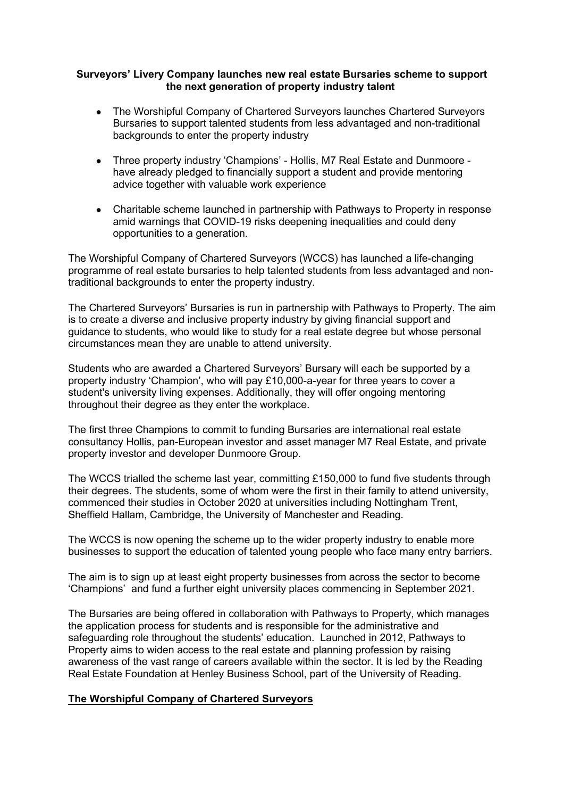### Surveyors' Livery Company launches new real estate Bursaries scheme to support the next generation of property industry talent

- The Worshipful Company of Chartered Surveyors launches Chartered Surveyors Bursaries to support talented students from less advantaged and non-traditional backgrounds to enter the property industry
- Three property industry 'Champions' Hollis, M7 Real Estate and Dunmoore have already pledged to financially support a student and provide mentoring advice together with valuable work experience
- Charitable scheme launched in partnership with Pathways to Property in response amid warnings that COVID-19 risks deepening inequalities and could deny opportunities to a generation.

The Worshipful Company of Chartered Surveyors (WCCS) has launched a life-changing programme of real estate bursaries to help talented students from less advantaged and nontraditional backgrounds to enter the property industry.

The Chartered Surveyors' Bursaries is run in partnership with Pathways to Property. The aim is to create a diverse and inclusive property industry by giving financial support and guidance to students, who would like to study for a real estate degree but whose personal circumstances mean they are unable to attend university.

Students who are awarded a Chartered Surveyors' Bursary will each be supported by a property industry 'Champion', who will pay £10,000-a-year for three years to cover a student's university living expenses. Additionally, they will offer ongoing mentoring throughout their degree as they enter the workplace.

The first three Champions to commit to funding Bursaries are international real estate consultancy Hollis, pan-European investor and asset manager M7 Real Estate, and private property investor and developer Dunmoore Group.

The WCCS trialled the scheme last year, committing £150,000 to fund five students through their degrees. The students, some of whom were the first in their family to attend university, commenced their studies in October 2020 at universities including Nottingham Trent, Sheffield Hallam, Cambridge, the University of Manchester and Reading.

The WCCS is now opening the scheme up to the wider property industry to enable more businesses to support the education of talented young people who face many entry barriers.

The aim is to sign up at least eight property businesses from across the sector to become 'Champions' and fund a further eight university places commencing in September 2021.

The Bursaries are being offered in collaboration with Pathways to Property, which manages the application process for students and is responsible for the administrative and safeguarding role throughout the students' education. Launched in 2012, Pathways to Property aims to widen access to the real estate and planning profession by raising awareness of the vast range of careers available within the sector. It is led by the Reading Real Estate Foundation at Henley Business School, part of the University of Reading.

## The Worshipful Company of Chartered Surveyors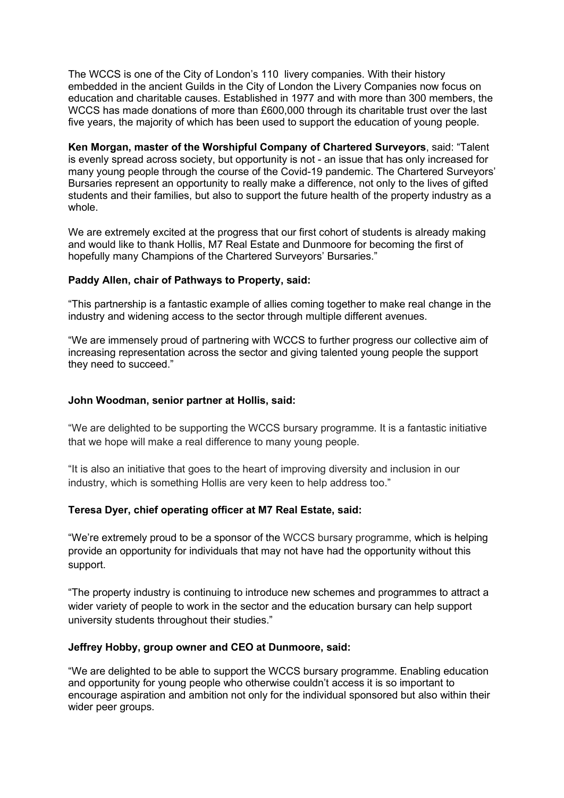The WCCS is one of the City of London's 110 livery companies. With their history embedded in the ancient Guilds in the City of London the Livery Companies now focus on education and charitable causes. Established in 1977 and with more than 300 members, the WCCS has made donations of more than £600,000 through its charitable trust over the last five years, the majority of which has been used to support the education of young people.

Ken Morgan, master of the Worshipful Company of Chartered Surveyors, said: "Talent is evenly spread across society, but opportunity is not - an issue that has only increased for many young people through the course of the Covid-19 pandemic. The Chartered Surveyors' Bursaries represent an opportunity to really make a difference, not only to the lives of gifted students and their families, but also to support the future health of the property industry as a whole.

We are extremely excited at the progress that our first cohort of students is already making and would like to thank Hollis, M7 Real Estate and Dunmoore for becoming the first of hopefully many Champions of the Chartered Surveyors' Bursaries."

## Paddy Allen, chair of Pathways to Property, said:

"This partnership is a fantastic example of allies coming together to make real change in the industry and widening access to the sector through multiple different avenues.

"We are immensely proud of partnering with WCCS to further progress our collective aim of increasing representation across the sector and giving talented young people the support they need to succeed."

## John Woodman, senior partner at Hollis, said:

"We are delighted to be supporting the WCCS bursary programme. It is a fantastic initiative that we hope will make a real difference to many young people.

"It is also an initiative that goes to the heart of improving diversity and inclusion in our industry, which is something Hollis are very keen to help address too."

## Teresa Dyer, chief operating officer at M7 Real Estate, said:

"We're extremely proud to be a sponsor of the WCCS bursary programme, which is helping provide an opportunity for individuals that may not have had the opportunity without this support.

"The property industry is continuing to introduce new schemes and programmes to attract a wider variety of people to work in the sector and the education bursary can help support university students throughout their studies."

## Jeffrey Hobby, group owner and CEO at Dunmoore, said:

"We are delighted to be able to support the WCCS bursary programme. Enabling education and opportunity for young people who otherwise couldn't access it is so important to encourage aspiration and ambition not only for the individual sponsored but also within their wider peer groups.